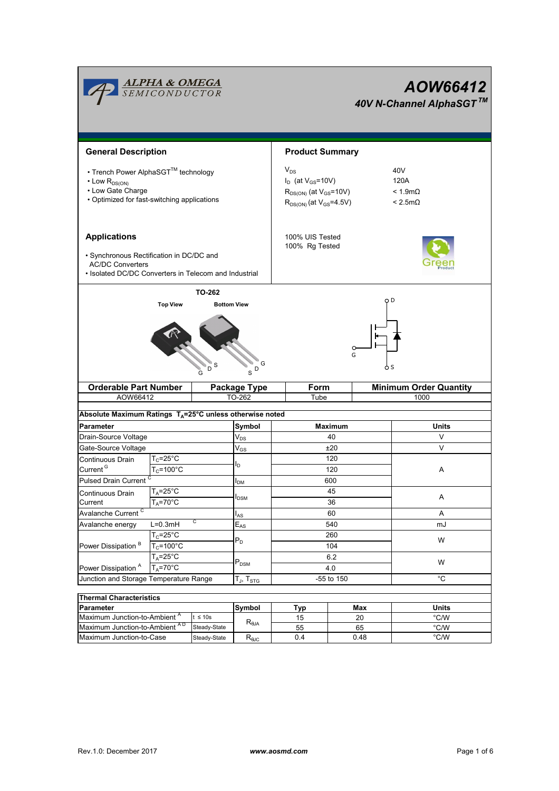|                                                                                                                                                     | <b>ALPHA &amp; OMEGA</b><br>SEMICONDUCTOR |                            |                                                                                                               |                                   |                                                 | AOW66412<br>40V N-Channel AlphaSGT™ |  |  |  |
|-----------------------------------------------------------------------------------------------------------------------------------------------------|-------------------------------------------|----------------------------|---------------------------------------------------------------------------------------------------------------|-----------------------------------|-------------------------------------------------|-------------------------------------|--|--|--|
| <b>General Description</b>                                                                                                                          |                                           |                            |                                                                                                               | <b>Product Summary</b>            |                                                 |                                     |  |  |  |
| • Trench Power AlphaSGT™ technology<br>$\cdot$ Low $R_{DS(ON)}$<br>• Low Gate Charge<br>• Optimized for fast-switching applications                 |                                           |                            | $V_{DS}$<br>$I_D$ (at $V_{GS}$ =10V)<br>$R_{DS(ON)}$ (at $V_{GS}$ =10V)<br>$R_{DS(ON)}$ (at $V_{GS} = 4.5V$ ) |                                   | 40V<br>120A<br>$< 1.9m\Omega$<br>$< 2.5m\Omega$ |                                     |  |  |  |
| <b>Applications</b><br>· Synchronous Rectification in DC/DC and<br><b>AC/DC Converters</b><br>• Isolated DC/DC Converters in Telecom and Industrial |                                           |                            |                                                                                                               | 100% UIS Tested<br>100% Rg Tested |                                                 |                                     |  |  |  |
| <b>TO-262</b><br><b>Top View</b><br><b>Bottom View</b><br>G<br>D<br>$\,$ s $^{\text{D}}$                                                            |                                           |                            |                                                                                                               | o D<br>$\circ$<br>G<br>o s        |                                                 |                                     |  |  |  |
| <b>Orderable Part Number</b>                                                                                                                        |                                           |                            | Package Type                                                                                                  | Form                              |                                                 | <b>Minimum Order Quantity</b>       |  |  |  |
| AOW66412                                                                                                                                            |                                           |                            | TO-262                                                                                                        | Tube                              |                                                 | 1000                                |  |  |  |
| Absolute Maximum Ratings T <sub>A</sub> =25°C unless otherwise noted                                                                                |                                           |                            |                                                                                                               |                                   |                                                 |                                     |  |  |  |
| <b>Parameter</b>                                                                                                                                    |                                           |                            | Symbol                                                                                                        | Maximum                           |                                                 | Units                               |  |  |  |
| Drain-Source Voltage                                                                                                                                |                                           |                            | $V_{DS}$                                                                                                      |                                   | 40                                              | V                                   |  |  |  |
| Gate-Source Voltage                                                                                                                                 |                                           |                            | $\rm V_{GS}$                                                                                                  | ±20                               |                                                 | $\vee$                              |  |  |  |
| Continuous Drain                                                                                                                                    | $T_c = 25$ °C                             |                            | l <sub>D</sub>                                                                                                | 120                               |                                                 |                                     |  |  |  |
| Current <sup>G</sup><br>$T_c = 100^{\circ}$ C                                                                                                       |                                           |                            |                                                                                                               |                                   | 120                                             | A                                   |  |  |  |
| Pulsed Drain Current <sup>C</sup>                                                                                                                   |                                           |                            | ӏ <sub>DМ</sub>                                                                                               |                                   | 600                                             |                                     |  |  |  |
| Continuous Drain<br>Current                                                                                                                         | $T_A = 25^\circ C$<br>$T_A = 70$ °C       |                            | $I_{DSM}$                                                                                                     |                                   | 45<br>36                                        | Α                                   |  |  |  |
| Avalanche Current <sup>C</sup>                                                                                                                      |                                           |                            | $I_{AS}$                                                                                                      |                                   | 60                                              | A                                   |  |  |  |
| С<br>$L=0.3mH$<br>Avalanche energy                                                                                                                  |                                           | $\mathsf{E}_{\mathsf{AS}}$ | 540                                                                                                           |                                   | mJ                                              |                                     |  |  |  |
|                                                                                                                                                     | $T_c = 25^{\circ}$ C                      |                            | $P_D$                                                                                                         | 260                               |                                                 | W                                   |  |  |  |
| Power Dissipation <sup>B</sup>                                                                                                                      | $T_c = 100^{\circ}$ C                     |                            |                                                                                                               | 104                               |                                                 |                                     |  |  |  |
|                                                                                                                                                     | $T_A = 25^{\circ}C$                       |                            | $P_{DSM}$                                                                                                     | 6.2                               |                                                 | W                                   |  |  |  |
| Power Dissipation <sup>A</sup>                                                                                                                      | $T_A = 70$ °C                             |                            |                                                                                                               | 4.0                               |                                                 |                                     |  |  |  |
| Junction and Storage Temperature Range                                                                                                              |                                           |                            | T <sub>J</sub> , T <sub>STG</sub>                                                                             | -55 to 150                        |                                                 | $^{\circ}$ C                        |  |  |  |
| <b>Thermal Characteristics</b>                                                                                                                      |                                           |                            |                                                                                                               |                                   |                                                 |                                     |  |  |  |
| Parameter                                                                                                                                           |                                           |                            | Symbol                                                                                                        | <b>Typ</b>                        | Max                                             | <b>Units</b>                        |  |  |  |
| Maximum Junction-to-Ambient <sup>A</sup><br>$t \leq 10s$                                                                                            |                                           |                            | 15                                                                                                            | 20                                | °C/W                                            |                                     |  |  |  |
| Maximum Junction-to-Ambient AD                                                                                                                      |                                           | Steady-State               | $\mathsf{R}_{\theta\mathsf{JA}}$                                                                              | 55                                | 65                                              | °C/W                                |  |  |  |
| Maximum Junction-to-Case                                                                                                                            |                                           | Steady-State               | $R_{\theta$ JC                                                                                                | 0.4                               | 0.48                                            | $^{\circ}$ C/W                      |  |  |  |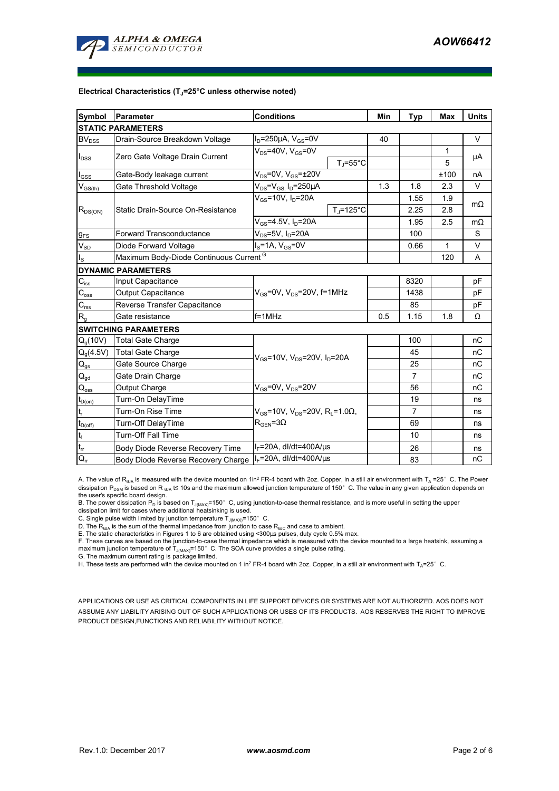

#### **Electrical Characteristics (TJ=25°C unless otherwise noted)**

| Symbol                                 | <b>Conditions</b><br>Parameter                                       |                                       |                                                            | Min  | <b>Typ</b>     | <b>Max</b> | <b>Units</b> |  |  |  |  |  |
|----------------------------------------|----------------------------------------------------------------------|---------------------------------------|------------------------------------------------------------|------|----------------|------------|--------------|--|--|--|--|--|
| <b>STATIC PARAMETERS</b>               |                                                                      |                                       |                                                            |      |                |            |              |  |  |  |  |  |
| <b>BV</b> <sub>DSS</sub>               | Drain-Source Breakdown Voltage                                       | $I_D = 250 \mu A$ , $V_{GS} = 0V$     |                                                            | 40   |                |            | $\vee$       |  |  |  |  |  |
| $I_{DSS}$                              | Zero Gate Voltage Drain Current                                      | $V_{DS}$ =40V, $V_{GS}$ =0V           |                                                            |      |                | 1          | μA           |  |  |  |  |  |
|                                        |                                                                      |                                       | $T_{\rm J}$ =55°C                                          |      |                | 5          |              |  |  |  |  |  |
| $I_{GSS}$                              | Gate-Body leakage current                                            | $V_{DS}$ =0V, $V_{GS}$ = $\pm$ 20V    |                                                            |      |                | ±100       | nA           |  |  |  |  |  |
| $V_{GS(th)}$                           | Gate Threshold Voltage                                               | $V_{DS} = V_{GS}$ , $I_D = 250 \mu A$ |                                                            | 1.3  | 1.8            | 2.3        | $\vee$       |  |  |  |  |  |
| $R_{DS(ON)}$                           |                                                                      | $V_{GS}$ =10V, I <sub>D</sub> =20A    |                                                            |      | 1.55           | 1.9        | $m\Omega$    |  |  |  |  |  |
|                                        | Static Drain-Source On-Resistance                                    |                                       | $T_J = 125$ °C                                             |      | 2.25           | 2.8        |              |  |  |  |  |  |
|                                        |                                                                      | $V_{GS} = 4.5V$ , $I_D = 20A$         |                                                            |      | 1.95           | 2.5        | $m\Omega$    |  |  |  |  |  |
| $g_{FS}$                               | <b>Forward Transconductance</b>                                      | $V_{DS}$ =5V, I <sub>D</sub> =20A     |                                                            |      | 100            |            | S            |  |  |  |  |  |
| $V_{SD}$                               | Diode Forward Voltage                                                |                                       |                                                            | 0.66 | 1              | $\vee$     |              |  |  |  |  |  |
| $I_{\rm S}$                            | Maximum Body-Diode Continuous Current <sup>G</sup>                   |                                       |                                                            | 120  | A              |            |              |  |  |  |  |  |
|                                        | <b>DYNAMIC PARAMETERS</b>                                            |                                       |                                                            |      |                |            |              |  |  |  |  |  |
| $C_{iss}$                              | Input Capacitance                                                    |                                       |                                                            |      | 8320           |            | pF           |  |  |  |  |  |
| $C_{\rm oss}$                          | $V_{GS}$ =0V, $V_{DS}$ =20V, f=1MHz<br><b>Output Capacitance</b>     |                                       |                                                            |      | 1438           |            | pF           |  |  |  |  |  |
| $C_{\text{rss}}$                       | Reverse Transfer Capacitance                                         |                                       |                                                            | 85   |                | pF         |              |  |  |  |  |  |
| $R_{g}$                                | Gate resistance                                                      | $f = 1$ MHz                           | 0.5                                                        | 1.15 | 1.8            | Ω          |              |  |  |  |  |  |
|                                        | <b>SWITCHING PARAMETERS</b>                                          |                                       |                                                            |      |                |            |              |  |  |  |  |  |
| Q <sub>a</sub> (10V)                   | <b>Total Gate Charge</b>                                             |                                       |                                                            | 100  |                | nC         |              |  |  |  |  |  |
| $Q_q(4.5V)$                            | <b>Total Gate Charge</b><br>$V_{GS}$ =10V, $V_{DS}$ =20V, $I_D$ =20A |                                       |                                                            |      | 45             |            | nC           |  |  |  |  |  |
| $\mathbf{Q}_\text{gs}$                 | Gate Source Charge                                                   |                                       |                                                            |      | 25             |            | nC           |  |  |  |  |  |
| $\mathsf{Q}_{\underline{\mathsf{gd}}}$ | Gate Drain Charge                                                    |                                       |                                                            | 7    |                | nC         |              |  |  |  |  |  |
| $\mathsf{Q}_{\text{oss}}$              | <b>Output Charge</b>                                                 | $V_{GS}$ =0V, V <sub>DS</sub> =20V    |                                                            |      | 56             |            | nC           |  |  |  |  |  |
| $t_{D(0n)}$                            | Turn-On DelayTime                                                    |                                       |                                                            |      | 19             |            | ns           |  |  |  |  |  |
| $\mathbf{t}_\mathrm{r}$                | Turn-On Rise Time                                                    |                                       | $V_{GS}$ =10V, V <sub>DS</sub> =20V, R <sub>L</sub> =1.0Ω, |      | $\overline{7}$ |            | ns           |  |  |  |  |  |
| $t_{D(off)}$                           | Turn-Off DelayTime                                                   | $R_{\text{GEN}} = 3\Omega$            |                                                            |      | 69             |            | ns           |  |  |  |  |  |
| $\mathsf{t}_{\mathsf{f}}$              | Turn-Off Fall Time                                                   |                                       |                                                            |      | 10             |            | ns           |  |  |  |  |  |
| $t_{rr}$                               | Body Diode Reverse Recovery Time                                     | $I_F = 20A$ , dl/dt=400A/ $\mu$ s     |                                                            |      | 26             |            | ns           |  |  |  |  |  |
| $Q_{rr}$                               | Body Diode Reverse Recovery Charge                                   | $I_F$ =20A, dl/dt=400A/ $\mu$ s       |                                                            |      | 83             |            | nC           |  |  |  |  |  |

A. The value of R<sub>BJA</sub> is measured with the device mounted on 1in<sup>2</sup> FR-4 board with 2oz. Copper, in a still air environment with T<sub>A</sub> =25° C. The Power dissipation P<sub>DSM</sub> is based on R <sub>θJA</sub> t≤ 10s and the maximum allowed junction temperature of 150°C. The value in any given application depends on the user's specific board design.

B. The power dissipation  $P_D$  is based on T<sub>J(MAX)</sub>=150°C, using junction-to-case thermal resistance, and is more useful in setting the upper

dissipation limit for cases where additional heatsinking is used.

C. Single pulse width limited by junction temperature  $\bar{T}_{J(MAX)}$ =150°C.

D. The  $R_{\theta JA}$  is the sum of the thermal impedance from junction to case  $R_{\theta JC}$  and case to ambient.

E. The static characteristics in Figures 1 to 6 are obtained using <300µs pulses, duty cycle 0.5% max.<br>F. These curves are based on the junction-to-case thermal impedance which is measured with the device mounted to a lar

maximum junction temperature of T<sub>J(MAX)</sub>=150°C. The SOA curve provides a single pulse rating.

G. The maximum current rating is package limited.

H. These tests are performed with the device mounted on 1 in<sup>2</sup> FR-4 board with 2oz. Copper, in a still air environment with T<sub>A</sub>=25°C.

APPLICATIONS OR USE AS CRITICAL COMPONENTS IN LIFE SUPPORT DEVICES OR SYSTEMS ARE NOT AUTHORIZED. AOS DOES NOT ASSUME ANY LIABILITY ARISING OUT OF SUCH APPLICATIONS OR USES OF ITS PRODUCTS. AOS RESERVES THE RIGHT TO IMPROVE PRODUCT DESIGN,FUNCTIONS AND RELIABILITY WITHOUT NOTICE.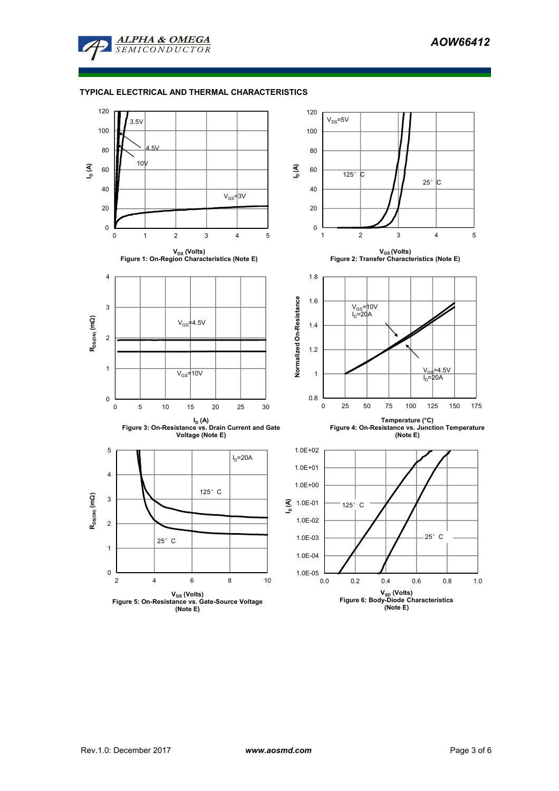

# **TYPICAL ELECTRICAL AND THERMAL CHARACTERISTICS**

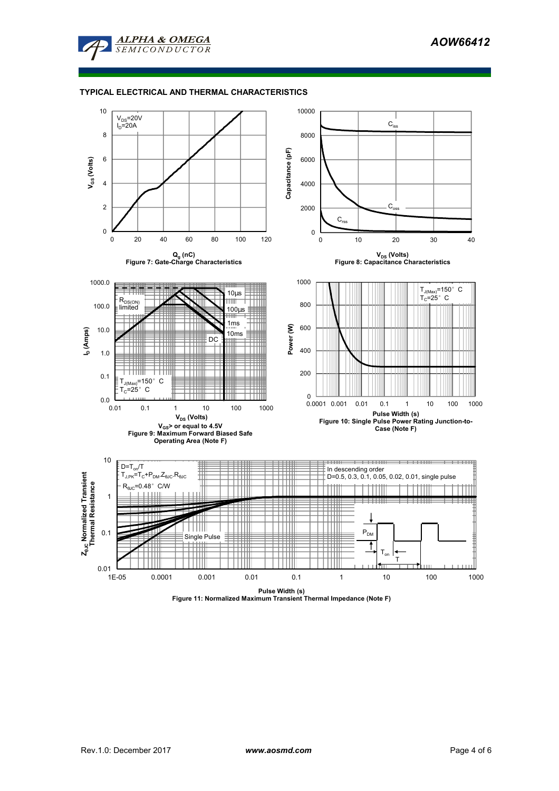

# **TYPICAL ELECTRICAL AND THERMAL CHARACTERISTICS**

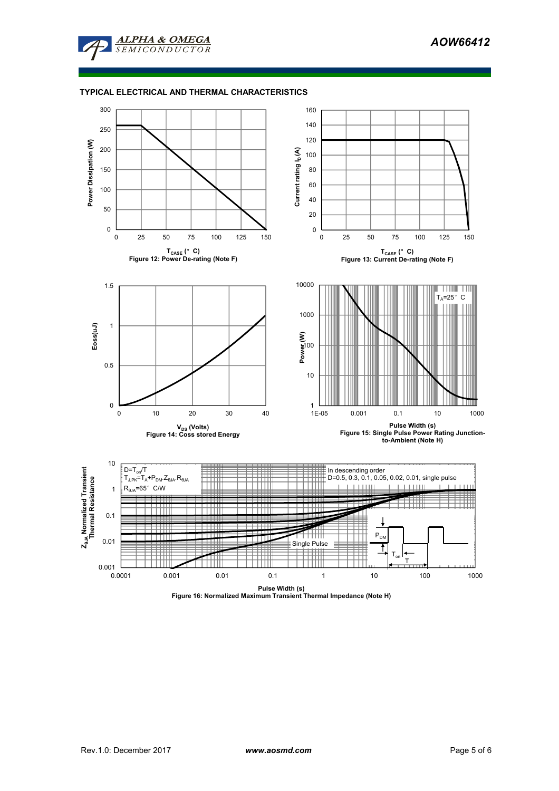

# **TYPICAL ELECTRICAL AND THERMAL CHARACTERISTICS**



**Pulse Width (s) Figure 16: Normalized Maximum Transient Thermal Impedance (Note H)**